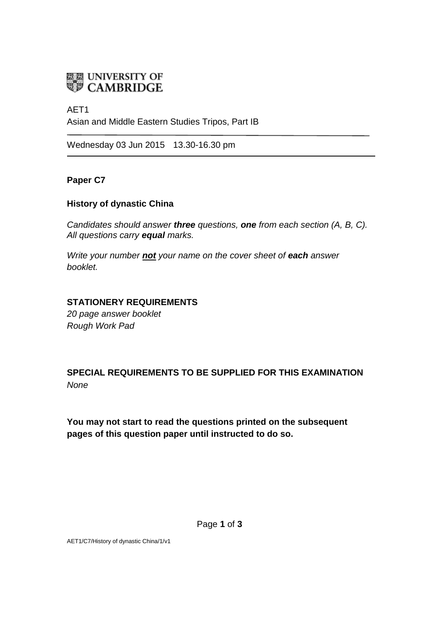

### AET1

Asian and Middle Eastern Studies Tripos, Part IB

Wednesday 03 Jun 2015 13.30-16.30 pm

### **Paper C7**

### **History of dynastic China**

*Candidates should answer three questions, one from each section (A, B, C). All questions carry equal marks.*

*Write your number not your name on the cover sheet of each answer booklet.* 

### **STATIONERY REQUIREMENTS**

*20 page answer booklet Rough Work Pad*

# **SPECIAL REQUIREMENTS TO BE SUPPLIED FOR THIS EXAMINATION** *None*

**You may not start to read the questions printed on the subsequent pages of this question paper until instructed to do so.**

AET1/C7/History of dynastic China/1/v1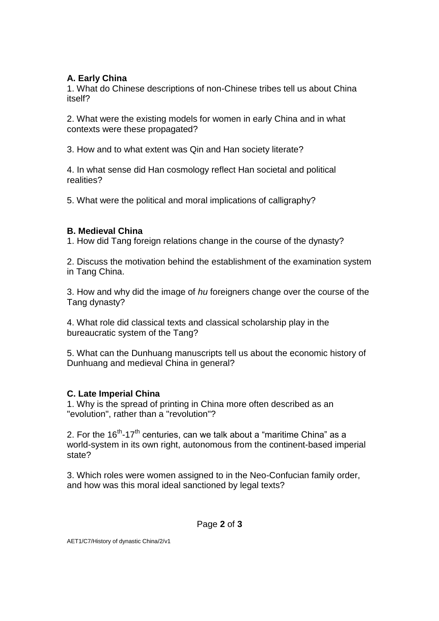## **A. Early China**

1. What do Chinese descriptions of non-Chinese tribes tell us about China itself?

2. What were the existing models for women in early China and in what contexts were these propagated?

3. How and to what extent was Qin and Han society literate?

4. In what sense did Han cosmology reflect Han societal and political realities?

5. What were the political and moral implications of calligraphy?

## **B. Medieval China**

1. How did Tang foreign relations change in the course of the dynasty?

2. Discuss the motivation behind the establishment of the examination system in Tang China.

3. How and why did the image of *hu* foreigners change over the course of the Tang dynasty?

4. What role did classical texts and classical scholarship play in the bureaucratic system of the Tang?

5. What can the Dunhuang manuscripts tell us about the economic history of Dunhuang and medieval China in general?

## **C. Late Imperial China**

1. Why is the spread of printing in China more often described as an "evolution", rather than a "revolution"?

2. For the 16<sup>th</sup>-17<sup>th</sup> centuries, can we talk about a "maritime China" as a world-system in its own right, autonomous from the continent-based imperial state?

3. Which roles were women assigned to in the Neo-Confucian family order, and how was this moral ideal sanctioned by legal texts?